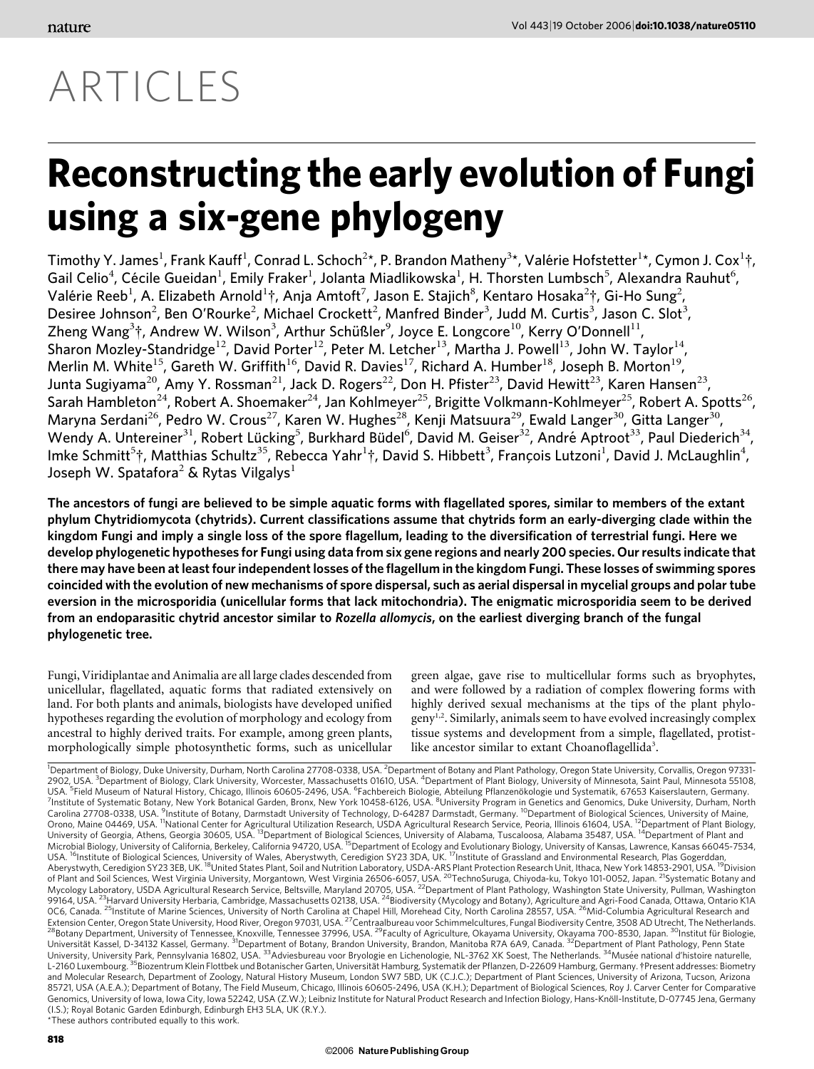# ARTICLES

# Reconstructing the early evolution of Fungi using a six-gene phylogeny

Timothy Y. James<sup>1</sup>, Frank Kauff<sup>1</sup>, Conrad L. Schoch<sup>2</sup>\*, P. Brandon Matheny<sup>3</sup>\*, Valérie Hofstetter<sup>1</sup>\*, Cymon J. Cox<sup>1</sup>†, Gail Celio<sup>4</sup>, Cécile Gueidan<sup>1</sup>, Emily Fraker<sup>1</sup>, Jolanta Miadlikowska<sup>1</sup>, H. Thorsten Lumbsch<sup>5</sup>, Alexandra Rauhut<sup>6</sup>, Valérie Reeb<sup>1</sup>, A. Elizabeth Arnold<sup>1</sup>†, Anja Amtoft<sup>7</sup>, Jason E. Stajich<sup>8</sup>, Kentaro Hosaka<sup>2</sup>†, Gi-Ho Sung<sup>2</sup>, Desiree Johnson<sup>2</sup>, Ben O'Rourke<sup>2</sup>, Michael Crockett<sup>2</sup>, Manfred Binder<sup>3</sup>, Judd M. Curtis<sup>3</sup>, Jason C. Slot<sup>3</sup>, Zheng Wang<sup>3</sup>†, Andrew W. Wilson<sup>3</sup>, Arthur Schüßler<sup>9</sup>, Joyce E. Longcore<sup>10</sup>, Kerry O'Donnell<sup>11</sup>, Sharon Mozley-Standridge<sup>12</sup>, David Porter<sup>12</sup>, Peter M. Letcher<sup>13</sup>, Martha J. Powell<sup>13</sup>, John W. Taylor<sup>14</sup> Merlin M. White<sup>15</sup>, Gareth W. Griffith<sup>16</sup>, David R. Davies<sup>17</sup>, Richard A. Humber<sup>18</sup>, Joseph B. Morton<sup>19</sup>, Junta Sugiyama<sup>20</sup>, Amy Y. Rossman<sup>21</sup>, Jack D. Rogers<sup>22</sup>, Don H. Pfister<sup>23</sup>, David Hewitt<sup>23</sup>, Karen Hansen<sup>23</sup>, Sarah Hambleton<sup>24</sup>, Robert A. Shoemaker<sup>24</sup>, Jan Kohlmeyer<sup>25</sup>, Brigitte Volkmann-Kohlmeyer<sup>25</sup>, Robert A. Spotts<sup>26</sup>, Maryna Serdani<sup>26</sup>, Pedro W. Crous<sup>27</sup>, Karen W. Hughes<sup>28</sup>, Kenji Matsuura<sup>29</sup>, Ewald Langer<sup>30</sup>, Gitta Langer<sup>30</sup>, Wendy A. Untereiner<sup>31</sup>, Robert Lücking<sup>5</sup>, Burkhard Büdel<sup>6</sup>, David M. Geiser<sup>32</sup>, André Aptroot<sup>33</sup>, Paul Diederich<sup>34</sup>, Imke Schmitt<sup>5</sup>†, Matthias Schultz<sup>35</sup>, Rebecca Yahr<sup>1</sup>†, David S. Hibbett<sup>3</sup>, François Lutzoni<sup>1</sup>, David J. McLaughlin<sup>4</sup>, Joseph W. Spatafora<sup>2</sup> & Rytas Vilgalys<sup>1</sup>

The ancestors of fungi are believed to be simple aquatic forms with flagellated spores, similar to members of the extant phylum Chytridiomycota (chytrids). Current classifications assume that chytrids form an early-diverging clade within the kingdom Fungi and imply a single loss of the spore flagellum, leading to the diversification of terrestrial fungi. Here we develop phylogenetic hypotheses for Fungi using data from six gene regions and nearly 200 species. Our results indicate that there may have been at least four independent losses of the flagellum in the kingdom Fungi. These losses of swimming spores coincided with the evolution of new mechanisms of spore dispersal, such as aerial dispersal in mycelial groups and polar tube eversion in the microsporidia (unicellular forms that lack mitochondria). The enigmatic microsporidia seem to be derived from an endoparasitic chytrid ancestor similar to Rozella allomycis, on the earliest diverging branch of the fungal phylogenetic tree.

Fungi, Viridiplantae and Animalia are all large clades descended from unicellular, flagellated, aquatic forms that radiated extensively on land. For both plants and animals, biologists have developed unified hypotheses regarding the evolution of morphology and ecology from ancestral to highly derived traits. For example, among green plants, morphologically simple photosynthetic forms, such as unicellular

green algae, gave rise to multicellular forms such as bryophytes, and were followed by a radiation of complex flowering forms with highly derived sexual mechanisms at the tips of the plant phylo $genv^{1,2}$ . Similarly, animals seem to have evolved increasingly complex tissue systems and development from a simple, flagellated, protistlike ancestor similar to extant Choanoflagellida<sup>3</sup>.

<sup>1</sup>Department of Biology, Duke University, Durham, North Carolina 27708-0338, USA. <sup>2</sup>Department of Botany and Plant Pathology, Oregon State University, Corvallis, Oregon 97331-<br>2902, USA. <sup>3</sup>Department of Biology, Clark U USA. <sup>5</sup>Field Museum of Natural History, Chicago, Illinois 60605-2496, USA. <sup>6</sup>Fachbereich Biologie, Abteilung Pflanzenökologie und Systematik, 67653 Kaiserslautern, Germany.<br><sup>7</sup>Institute of Systematic Botany, New York Bot Carolina 27708-0338, USA. <sup>9</sup>Institute of Botany, Darmstadt University of Technology, D-64287 Darmstadt, Germany. <sup>10</sup>Department of Biological Sciences, University of Maine, Orono, Maine 04469, USA. <sup>11</sup>National Center for Agricultural Utilization Research, USDA Agricultural Research Service, Peoria, Illinois 61604, USA. <sup>12</sup>Department of Plant Biology,<br>Miversity of Georgia, Athens, Georgia 30 of Plant and Soil Sciences, West Virginia University, Morgantown, West Virginia 26506-6057, USA. <sup>20</sup>TechnoSuruga, Chiyoda-ku, Tokyo 101-0052, Japan. <sup>21</sup>Systematic Botany and<br>Mycology Laboratory, USDA Agricultural Researc 0C6, Canada. <sup>25</sup>Institute of Marine Sciences, University of North Carolina at Chapel Hill, Morehead City, North Carolina 28557, USA. <sup>26</sup>Mid-Columbia Agricultural Research and<br>Extension Center, Oregon State University, Ho Extension Center, Oregon State University, Hood River, Oregon 97031, USA. <sup>27</sup>Centraalbureau voor Schimmelcultures, Fungal Biodiversity Centre, 3508 AD Utrecht, The Netherlands.<br><sup>28</sup>Botany Department, University of Tenness University, University Park, Pennsylvania 16802, USA. <sup>33</sup>Adviesbureau voor Bryologie en Lichenologie, NL-3762 XK Soest, The Netherlands. <sup>34</sup>Musée national d'histoire naturelle, L-2160 Luxembourg.<sup>35</sup>Biozentrum Klein Flottbek und Botanischer Garten, Universität Hamburg, Systematik der Pflanzen, D-22609 Hamburg, Germany. †Present addresses: Biometry and Molecular Research, Department of Zoology, Natural History Museum, London SW7 5BD, UK (C.J.C.); Department of Plant Sciences, University of Arizona, Tucson, Arizona 85721, USA (A.E.A.); Department of Botany, The Field Museum, Chicago, Illinois 60605-2496, USA (K.H.); Department of Biological Sciences, Roy J. Carver Center for Comparative Genomics, University of Iowa, Iowa City, Iowa 52242, USA (Z.W.); Leibniz Institute for Natural Product Research and Infection Biology, Hans-Knöll-Institute, D-07745 Jena, Germany (I.S.); Royal Botanic Garden Edinburgh, Edinburgh EH3 5LA, UK (R.Y.).

\*These authors contributed equally to this work.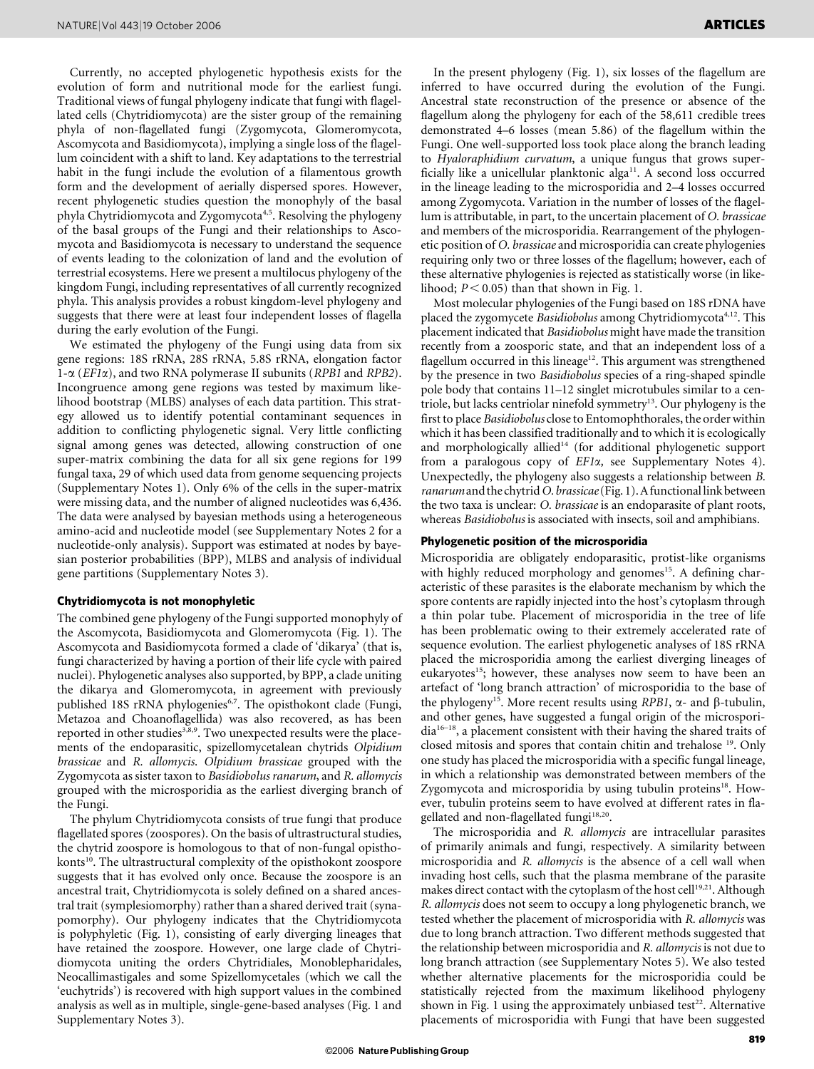Currently, no accepted phylogenetic hypothesis exists for the evolution of form and nutritional mode for the earliest fungi. Traditional views of fungal phylogeny indicate that fungi with flagellated cells (Chytridiomycota) are the sister group of the remaining phyla of non-flagellated fungi (Zygomycota, Glomeromycota, Ascomycota and Basidiomycota), implying a single loss of the flagellum coincident with a shift to land. Key adaptations to the terrestrial habit in the fungi include the evolution of a filamentous growth form and the development of aerially dispersed spores. However, recent phylogenetic studies question the monophyly of the basal phyla Chytridiomycota and Zygomycota<sup>4,5</sup>. Resolving the phylogeny of the basal groups of the Fungi and their relationships to Ascomycota and Basidiomycota is necessary to understand the sequence of events leading to the colonization of land and the evolution of terrestrial ecosystems. Here we present a multilocus phylogeny of the kingdom Fungi, including representatives of all currently recognized phyla. This analysis provides a robust kingdom-level phylogeny and suggests that there were at least four independent losses of flagella during the early evolution of the Fungi.

We estimated the phylogeny of the Fungi using data from six gene regions: 18S rRNA, 28S rRNA, 5.8S rRNA, elongation factor  $1-\alpha$  (EF1 $\alpha$ ), and two RNA polymerase II subunits (RPB1 and RPB2). Incongruence among gene regions was tested by maximum likelihood bootstrap (MLBS) analyses of each data partition. This strategy allowed us to identify potential contaminant sequences in addition to conflicting phylogenetic signal. Very little conflicting signal among genes was detected, allowing construction of one super-matrix combining the data for all six gene regions for 199 fungal taxa, 29 of which used data from genome sequencing projects (Supplementary Notes 1). Only 6% of the cells in the super-matrix were missing data, and the number of aligned nucleotides was 6,436. The data were analysed by bayesian methods using a heterogeneous amino-acid and nucleotide model (see Supplementary Notes 2 for a nucleotide-only analysis). Support was estimated at nodes by bayesian posterior probabilities (BPP), MLBS and analysis of individual gene partitions (Supplementary Notes 3).

#### Chytridiomycota is not monophyletic

The combined gene phylogeny of the Fungi supported monophyly of the Ascomycota, Basidiomycota and Glomeromycota (Fig. 1). The Ascomycota and Basidiomycota formed a clade of 'dikarya' (that is, fungi characterized by having a portion of their life cycle with paired nuclei). Phylogenetic analyses also supported, by BPP, a clade uniting the dikarya and Glomeromycota, in agreement with previously published 18S rRNA phylogenies<sup>6,7</sup>. The opisthokont clade (Fungi, Metazoa and Choanoflagellida) was also recovered, as has been reported in other studies<sup>3,8,9</sup>. Two unexpected results were the placements of the endoparasitic, spizellomycetalean chytrids Olpidium brassicae and R. allomycis. Olpidium brassicae grouped with the Zygomycota as sister taxon to Basidiobolus ranarum, and R. allomycis grouped with the microsporidia as the earliest diverging branch of the Fungi.

The phylum Chytridiomycota consists of true fungi that produce flagellated spores (zoospores). On the basis of ultrastructural studies, the chytrid zoospore is homologous to that of non-fungal opisthokonts<sup>10</sup>. The ultrastructural complexity of the opisthokont zoospore suggests that it has evolved only once. Because the zoospore is an ancestral trait, Chytridiomycota is solely defined on a shared ancestral trait (symplesiomorphy) rather than a shared derived trait (synapomorphy). Our phylogeny indicates that the Chytridiomycota is polyphyletic (Fig. 1), consisting of early diverging lineages that have retained the zoospore. However, one large clade of Chytridiomycota uniting the orders Chytridiales, Monoblepharidales, Neocallimastigales and some Spizellomycetales (which we call the 'euchytrids') is recovered with high support values in the combined analysis as well as in multiple, single-gene-based analyses (Fig. 1 and Supplementary Notes 3).

In the present phylogeny (Fig. 1), six losses of the flagellum are inferred to have occurred during the evolution of the Fungi. Ancestral state reconstruction of the presence or absence of the flagellum along the phylogeny for each of the 58,611 credible trees demonstrated 4–6 losses (mean 5.86) of the flagellum within the Fungi. One well-supported loss took place along the branch leading to Hyaloraphidium curvatum, a unique fungus that grows superficially like a unicellular planktonic alga $11$ . A second loss occurred in the lineage leading to the microsporidia and 2–4 losses occurred among Zygomycota. Variation in the number of losses of the flagellum is attributable, in part, to the uncertain placement of O. brassicae and members of the microsporidia. Rearrangement of the phylogenetic position of O. brassicae and microsporidia can create phylogenies requiring only two or three losses of the flagellum; however, each of these alternative phylogenies is rejected as statistically worse (in likelihood;  $P \le 0.05$ ) than that shown in Fig. 1.

Most molecular phylogenies of the Fungi based on 18S rDNA have placed the zygomycete Basidiobolus among Chytridiomycota<sup>4,12</sup>. This placement indicated that Basidiobolus might have made the transition recently from a zoosporic state, and that an independent loss of a flagellum occurred in this lineage<sup>12</sup>. This argument was strengthened by the presence in two Basidiobolus species of a ring-shaped spindle pole body that contains 11–12 singlet microtubules similar to a centriole, but lacks centriolar ninefold symmetry<sup>13</sup>. Our phylogeny is the first to place Basidiobolus close to Entomophthorales, the order within which it has been classified traditionally and to which it is ecologically and morphologically allied<sup>14</sup> (for additional phylogenetic support from a paralogous copy of EF1a, see Supplementary Notes 4). Unexpectedly, the phylogeny also suggests a relationship between B. ranarum and the chytrid O. brassicae (Fig. 1). A functional link between the two taxa is unclear: O. brassicae is an endoparasite of plant roots, whereas Basidiobolus is associated with insects, soil and amphibians.

#### Phylogenetic position of the microsporidia

Microsporidia are obligately endoparasitic, protist-like organisms with highly reduced morphology and genomes<sup>15</sup>. A defining characteristic of these parasites is the elaborate mechanism by which the spore contents are rapidly injected into the host's cytoplasm through a thin polar tube. Placement of microsporidia in the tree of life has been problematic owing to their extremely accelerated rate of sequence evolution. The earliest phylogenetic analyses of 18S rRNA placed the microsporidia among the earliest diverging lineages of eukaryotes<sup>15</sup>; however, these analyses now seem to have been an artefact of 'long branch attraction' of microsporidia to the base of the phylogeny<sup>15</sup>. More recent results using *RPB1*,  $\alpha$ - and  $\beta$ -tubulin, and other genes, have suggested a fungal origin of the microsporidia16–18, a placement consistent with their having the shared traits of closed mitosis and spores that contain chitin and trehalose 19. Only one study has placed the microsporidia with a specific fungal lineage, in which a relationship was demonstrated between members of the Zygomycota and microsporidia by using tubulin proteins<sup>18</sup>. However, tubulin proteins seem to have evolved at different rates in flagellated and non-flagellated fungi $^{18,20}.$ 

The microsporidia and R. allomycis are intracellular parasites of primarily animals and fungi, respectively. A similarity between microsporidia and R. allomycis is the absence of a cell wall when invading host cells, such that the plasma membrane of the parasite makes direct contact with the cytoplasm of the host cell<sup>19,21</sup>. Although R. allomycis does not seem to occupy a long phylogenetic branch, we tested whether the placement of microsporidia with R. allomycis was due to long branch attraction. Two different methods suggested that the relationship between microsporidia and R. allomycis is not due to long branch attraction (see Supplementary Notes 5). We also tested whether alternative placements for the microsporidia could be statistically rejected from the maximum likelihood phylogeny shown in Fig. 1 using the approximately unbiased test<sup>22</sup>. Alternative placements of microsporidia with Fungi that have been suggested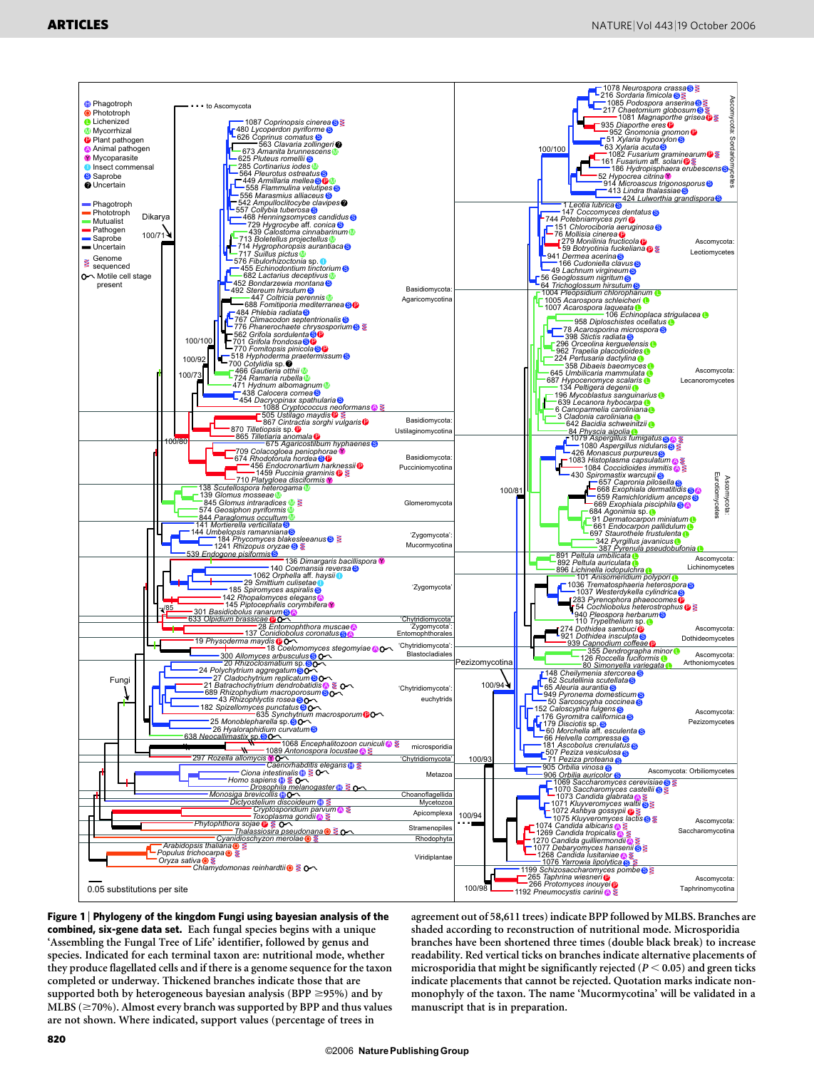

Figure 1 <sup>|</sup> Phylogeny of the kingdom Fungi using bayesian analysis of the combined, six-gene data set. Each fungal species begins with a unique 'Assembling the Fungal Tree of Life' identifier, followed by genus and species. Indicated for each terminal taxon are: nutritional mode, whether they produce flagellated cells and if there is a genome sequence for the taxon completed or underway. Thickened branches indicate those that are supported both by heterogeneous bayesian analysis (BPP  $\geq$ 95%) and by MLBS ( $\geq$ 70%). Almost every branch was supported by BPP and thus values are not shown. Where indicated, support values (percentage of trees in

agreement out of 58,611 trees) indicate BPP followed by MLBS. Branches are shaded according to reconstruction of nutritional mode. Microsporidia branches have been shortened three times (double black break) to increase readability. Red vertical ticks on branches indicate alternative placements of microsporidia that might be significantly rejected ( $P < 0.05$ ) and green ticks indicate placements that cannot be rejected. Quotation marks indicate nonmonophyly of the taxon. The name 'Mucormycotina' will be validated in a manuscript that is in preparation.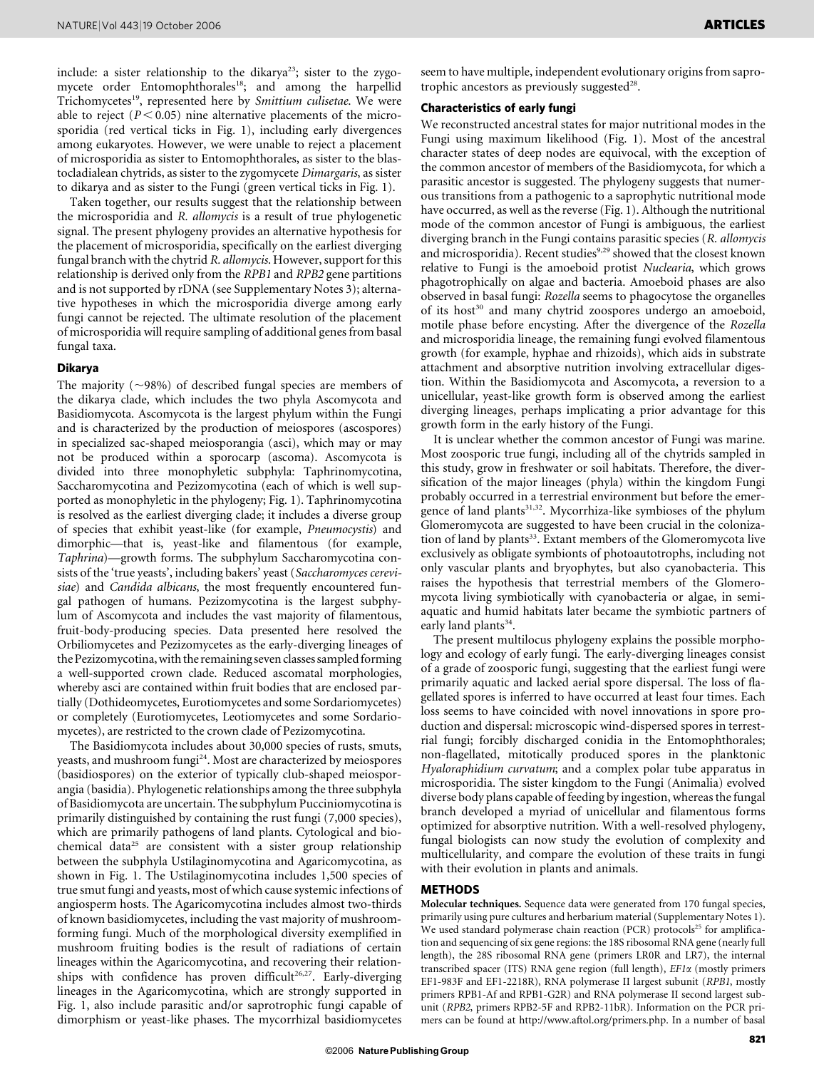include: a sister relationship to the dikarya<sup>23</sup>; sister to the zygomycete order Entomophthorales<sup>18</sup>; and among the harpellid Trichomycetes<sup>19</sup>, represented here by Smittium culisetae. We were able to reject ( $P < 0.05$ ) nine alternative placements of the microsporidia (red vertical ticks in Fig. 1), including early divergences among eukaryotes. However, we were unable to reject a placement of microsporidia as sister to Entomophthorales, as sister to the blastocladialean chytrids, as sister to the zygomycete Dimargaris, as sister to dikarya and as sister to the Fungi (green vertical ticks in Fig. 1).

Taken together, our results suggest that the relationship between the microsporidia and R. allomycis is a result of true phylogenetic signal. The present phylogeny provides an alternative hypothesis for the placement of microsporidia, specifically on the earliest diverging fungal branch with the chytrid R. allomycis. However, support for this relationship is derived only from the RPB1 and RPB2 gene partitions and is not supported by rDNA (see Supplementary Notes 3); alternative hypotheses in which the microsporidia diverge among early fungi cannot be rejected. The ultimate resolution of the placement of microsporidia will require sampling of additional genes from basal fungal taxa.

#### Dikarya

The majority  $(\sim 98\%)$  of described fungal species are members of the dikarya clade, which includes the two phyla Ascomycota and Basidiomycota. Ascomycota is the largest phylum within the Fungi and is characterized by the production of meiospores (ascospores) in specialized sac-shaped meiosporangia (asci), which may or may not be produced within a sporocarp (ascoma). Ascomycota is divided into three monophyletic subphyla: Taphrinomycotina, Saccharomycotina and Pezizomycotina (each of which is well supported as monophyletic in the phylogeny; Fig. 1). Taphrinomycotina is resolved as the earliest diverging clade; it includes a diverse group of species that exhibit yeast-like (for example, Pneumocystis) and dimorphic—that is, yeast-like and filamentous (for example, Taphrina)—growth forms. The subphylum Saccharomycotina consists of the 'true yeasts', including bakers' yeast (Saccharomyces cerevisiae) and Candida albicans, the most frequently encountered fungal pathogen of humans. Pezizomycotina is the largest subphylum of Ascomycota and includes the vast majority of filamentous, fruit-body-producing species. Data presented here resolved the Orbiliomycetes and Pezizomycetes as the early-diverging lineages of the Pezizomycotina, with the remaining seven classes sampled forming a well-supported crown clade. Reduced ascomatal morphologies, whereby asci are contained within fruit bodies that are enclosed partially (Dothideomycetes, Eurotiomycetes and some Sordariomycetes) or completely (Eurotiomycetes, Leotiomycetes and some Sordariomycetes), are restricted to the crown clade of Pezizomycotina.

The Basidiomycota includes about 30,000 species of rusts, smuts, yeasts, and mushroom fungi<sup>24</sup>. Most are characterized by meiospores (basidiospores) on the exterior of typically club-shaped meiosporangia (basidia). Phylogenetic relationships among the three subphyla of Basidiomycota are uncertain. The subphylum Pucciniomycotina is primarily distinguished by containing the rust fungi (7,000 species), which are primarily pathogens of land plants. Cytological and biochemical data<sup>25</sup> are consistent with a sister group relationship between the subphyla Ustilaginomycotina and Agaricomycotina, as shown in Fig. 1. The Ustilaginomycotina includes 1,500 species of true smut fungi and yeasts, most of which cause systemic infections of angiosperm hosts. The Agaricomycotina includes almost two-thirds of known basidiomycetes, including the vast majority of mushroomforming fungi. Much of the morphological diversity exemplified in mushroom fruiting bodies is the result of radiations of certain lineages within the Agaricomycotina, and recovering their relationships with confidence has proven difficult<sup>26,27</sup>. Early-diverging lineages in the Agaricomycotina, which are strongly supported in Fig. 1, also include parasitic and/or saprotrophic fungi capable of dimorphism or yeast-like phases. The mycorrhizal basidiomycetes

seem to have multiple, independent evolutionary origins from saprotrophic ancestors as previously suggested $28$ .

### Characteristics of early fungi

We reconstructed ancestral states for major nutritional modes in the Fungi using maximum likelihood (Fig. 1). Most of the ancestral character states of deep nodes are equivocal, with the exception of the common ancestor of members of the Basidiomycota, for which a parasitic ancestor is suggested. The phylogeny suggests that numerous transitions from a pathogenic to a saprophytic nutritional mode have occurred, as well as the reverse (Fig. 1). Although the nutritional mode of the common ancestor of Fungi is ambiguous, the earliest diverging branch in the Fungi contains parasitic species (R. allomycis and microsporidia). Recent studies<sup>9,29</sup> showed that the closest known relative to Fungi is the amoeboid protist Nuclearia, which grows phagotrophically on algae and bacteria. Amoeboid phases are also observed in basal fungi: Rozella seems to phagocytose the organelles of its host<sup>30</sup> and many chytrid zoospores undergo an amoeboid, motile phase before encysting. After the divergence of the Rozella and microsporidia lineage, the remaining fungi evolved filamentous growth (for example, hyphae and rhizoids), which aids in substrate attachment and absorptive nutrition involving extracellular digestion. Within the Basidiomycota and Ascomycota, a reversion to a unicellular, yeast-like growth form is observed among the earliest diverging lineages, perhaps implicating a prior advantage for this growth form in the early history of the Fungi.

It is unclear whether the common ancestor of Fungi was marine. Most zoosporic true fungi, including all of the chytrids sampled in this study, grow in freshwater or soil habitats. Therefore, the diversification of the major lineages (phyla) within the kingdom Fungi probably occurred in a terrestrial environment but before the emergence of land plants<sup>31,32</sup>. Mycorrhiza-like symbioses of the phylum Glomeromycota are suggested to have been crucial in the colonization of land by plants<sup>33</sup>. Extant members of the Glomeromycota live exclusively as obligate symbionts of photoautotrophs, including not only vascular plants and bryophytes, but also cyanobacteria. This raises the hypothesis that terrestrial members of the Glomeromycota living symbiotically with cyanobacteria or algae, in semiaquatic and humid habitats later became the symbiotic partners of early land plants<sup>34</sup>.

The present multilocus phylogeny explains the possible morphology and ecology of early fungi. The early-diverging lineages consist of a grade of zoosporic fungi, suggesting that the earliest fungi were primarily aquatic and lacked aerial spore dispersal. The loss of flagellated spores is inferred to have occurred at least four times. Each loss seems to have coincided with novel innovations in spore production and dispersal: microscopic wind-dispersed spores in terrestrial fungi; forcibly discharged conidia in the Entomophthorales; non-flagellated, mitotically produced spores in the planktonic Hyaloraphidium curvatum; and a complex polar tube apparatus in microsporidia. The sister kingdom to the Fungi (Animalia) evolved diverse body plans capable of feeding by ingestion, whereas the fungal branch developed a myriad of unicellular and filamentous forms optimized for absorptive nutrition. With a well-resolved phylogeny, fungal biologists can now study the evolution of complexity and multicellularity, and compare the evolution of these traits in fungi with their evolution in plants and animals.

## **METHODS**

Molecular techniques. Sequence data were generated from 170 fungal species, primarily using pure cultures and herbarium material (Supplementary Notes 1). We used standard polymerase chain reaction (PCR) protocols<sup>25</sup> for amplification and sequencing of six gene regions: the 18S ribosomal RNA gene (nearly full length), the 28S ribosomal RNA gene (primers LR0R and LR7), the internal transcribed spacer (ITS) RNA gene region (full length), EF1a (mostly primers EF1-983F and EF1-2218R), RNA polymerase II largest subunit (RPB1, mostly primers RPB1-Af and RPB1-G2R) and RNA polymerase II second largest subunit (RPB2, primers RPB2-5F and RPB2-11bR). Information on the PCR primers can be found at http://www.aftol.org/primers.php. In a number of basal